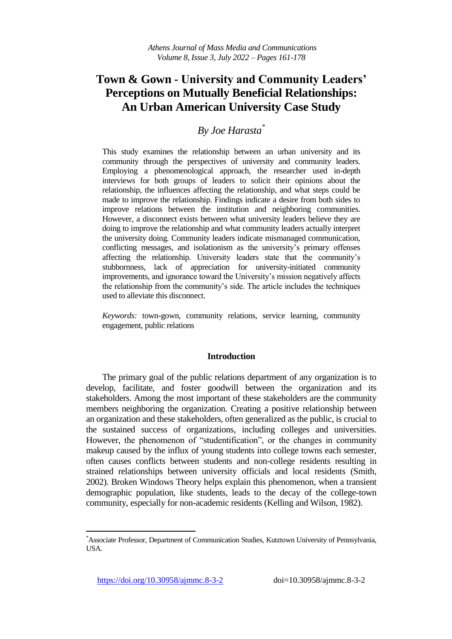# **Town & Gown - University and Community Leaders' Perceptions on Mutually Beneficial Relationships: An Urban American University Case Study**

## *By Joe Harasta\**

This study examines the relationship between an urban university and its community through the perspectives of university and community leaders. Employing a phenomenological approach, the researcher used in-depth interviews for both groups of leaders to solicit their opinions about the relationship, the influences affecting the relationship, and what steps could be made to improve the relationship. Findings indicate a desire from both sides to improve relations between the institution and neighboring communities. However, a disconnect exists between what university leaders believe they are doing to improve the relationship and what community leaders actually interpret the university doing. Community leaders indicate mismanaged communication, conflicting messages, and isolationism as the university's primary offenses affecting the relationship. University leaders state that the community's stubbornness, lack of appreciation for university-initiated community improvements, and ignorance toward the University's mission negatively affects the relationship from the community's side. The article includes the techniques used to alleviate this disconnect.

*Keywords:* town-gown, community relations, service learning, community engagement, public relations

### **Introduction**

The primary goal of the public relations department of any organization is to develop, facilitate, and foster goodwill between the organization and its stakeholders. Among the most important of these stakeholders are the community members neighboring the organization. Creating a positive relationship between an organization and these stakeholders, often generalized as the public, is crucial to the sustained success of organizations, including colleges and universities. However, the phenomenon of "studentification", or the changes in community makeup caused by the influx of young students into college towns each semester, often causes conflicts between students and non-college residents resulting in strained relationships between university officials and local residents (Smith, 2002). Broken Windows Theory helps explain this phenomenon, when a transient demographic population, like students, leads to the decay of the college-town community, especially for non-academic residents (Kelling and Wilson, 1982).

l

<sup>\*</sup>Associate Professor, Department of Communication Studies, Kutztown University of Pennsylvania, USA.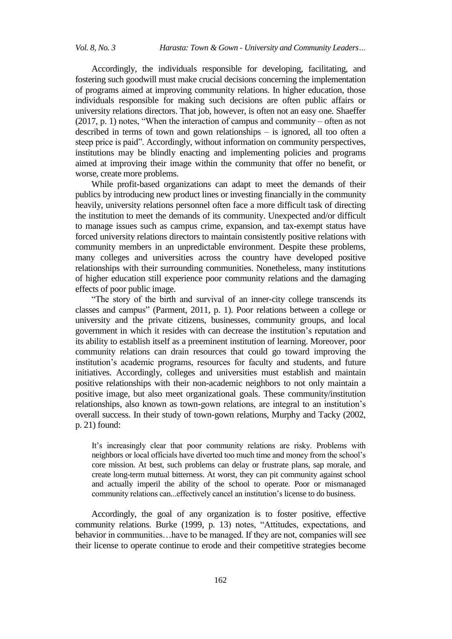Accordingly, the individuals responsible for developing, facilitating, and fostering such goodwill must make crucial decisions concerning the implementation of programs aimed at improving community relations. In higher education, those individuals responsible for making such decisions are often public affairs or university relations directors. That job, however, is often not an easy one. Shaeffer (2017, p. 1) notes, "When the interaction of campus and community – often as not described in terms of town and gown relationships – is ignored, all too often a steep price is paid". Accordingly, without information on community perspectives, institutions may be blindly enacting and implementing policies and programs aimed at improving their image within the community that offer no benefit, or worse, create more problems.

While profit-based organizations can adapt to meet the demands of their publics by introducing new product lines or investing financially in the community heavily, university relations personnel often face a more difficult task of directing the institution to meet the demands of its community. Unexpected and/or difficult to manage issues such as campus crime, expansion, and tax-exempt status have forced university relations directors to maintain consistently positive relations with community members in an unpredictable environment. Despite these problems, many colleges and universities across the country have developed positive relationships with their surrounding communities. Nonetheless, many institutions of higher education still experience poor community relations and the damaging effects of poor public image.

―The story of the birth and survival of an inner-city college transcends its classes and campus" (Parment, 2011, p. 1). Poor relations between a college or university and the private citizens, businesses, community groups, and local government in which it resides with can decrease the institution's reputation and its ability to establish itself as a preeminent institution of learning. Moreover, poor community relations can drain resources that could go toward improving the institution's academic programs, resources for faculty and students, and future initiatives. Accordingly, colleges and universities must establish and maintain positive relationships with their non-academic neighbors to not only maintain a positive image, but also meet organizational goals. These community/institution relationships, also known as town-gown relations, are integral to an institution's overall success. In their study of town-gown relations, Murphy and Tacky (2002, p. 21) found:

It's increasingly clear that poor community relations are risky. Problems with neighbors or local officials have diverted too much time and money from the school's core mission. At best, such problems can delay or frustrate plans, sap morale, and create long-term mutual bitterness. At worst, they can pit community against school and actually imperil the ability of the school to operate. Poor or mismanaged community relations can...effectively cancel an institution's license to do business.

Accordingly, the goal of any organization is to foster positive, effective community relations. Burke (1999, p. 13) notes, "Attitudes, expectations, and behavior in communities…have to be managed. If they are not, companies will see their license to operate continue to erode and their competitive strategies become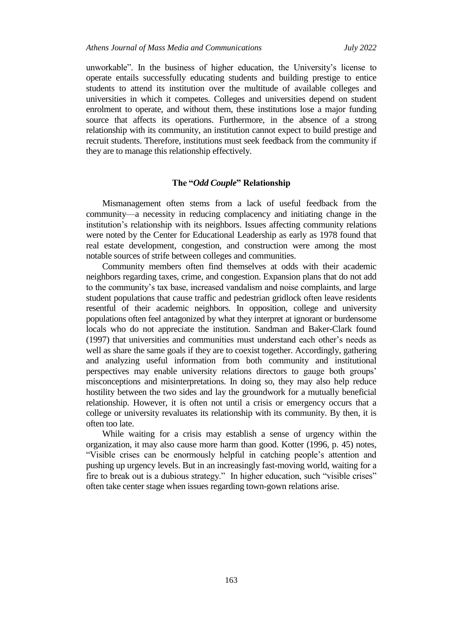unworkable‖. In the business of higher education, the University's license to operate entails successfully educating students and building prestige to entice students to attend its institution over the multitude of available colleges and universities in which it competes. Colleges and universities depend on student enrolment to operate, and without them, these institutions lose a major funding source that affects its operations. Furthermore, in the absence of a strong relationship with its community, an institution cannot expect to build prestige and recruit students. Therefore, institutions must seek feedback from the community if they are to manage this relationship effectively.

#### **The "***Odd Couple***" Relationship**

Mismanagement often stems from a lack of useful feedback from the community—a necessity in reducing complacency and initiating change in the institution's relationship with its neighbors. Issues affecting community relations were noted by the Center for Educational Leadership as early as 1978 found that real estate development, congestion, and construction were among the most notable sources of strife between colleges and communities.

Community members often find themselves at odds with their academic neighbors regarding taxes, crime, and congestion. Expansion plans that do not add to the community's tax base, increased vandalism and noise complaints, and large student populations that cause traffic and pedestrian gridlock often leave residents resentful of their academic neighbors. In opposition, college and university populations often feel antagonized by what they interpret at ignorant or burdensome locals who do not appreciate the institution. Sandman and Baker-Clark found (1997) that universities and communities must understand each other's needs as well as share the same goals if they are to coexist together. Accordingly, gathering and analyzing useful information from both community and institutional perspectives may enable university relations directors to gauge both groups' misconceptions and misinterpretations. In doing so, they may also help reduce hostility between the two sides and lay the groundwork for a mutually beneficial relationship. However, it is often not until a crisis or emergency occurs that a college or university revaluates its relationship with its community. By then, it is often too late.

While waiting for a crisis may establish a sense of urgency within the organization, it may also cause more harm than good. Kotter (1996, p. 45) notes, ―Visible crises can be enormously helpful in catching people's attention and pushing up urgency levels. But in an increasingly fast-moving world, waiting for a fire to break out is a dubious strategy." In higher education, such "visible crises" often take center stage when issues regarding town-gown relations arise.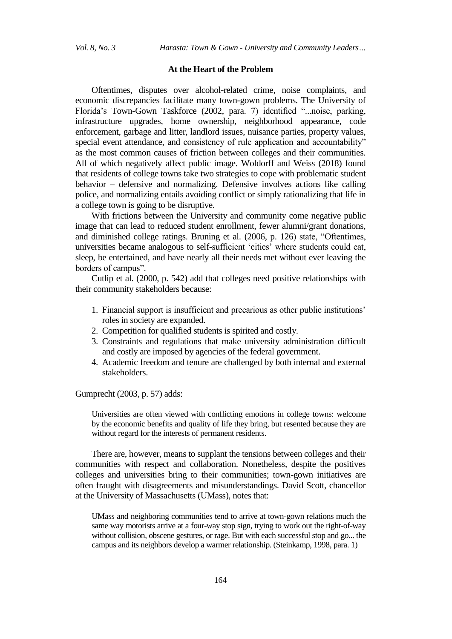#### **At the Heart of the Problem**

Oftentimes, disputes over alcohol-related crime, noise complaints, and economic discrepancies facilitate many town-gown problems. The University of Florida's Town-Gown Taskforce (2002, para. 7) identified "...noise, parking, infrastructure upgrades, home ownership, neighborhood appearance, code enforcement, garbage and litter, landlord issues, nuisance parties, property values, special event attendance, and consistency of rule application and accountability" as the most common causes of friction between colleges and their communities. All of which negatively affect public image. Woldorff and Weiss (2018) found that residents of college towns take two strategies to cope with problematic student behavior – defensive and normalizing. Defensive involves actions like calling police, and normalizing entails avoiding conflict or simply rationalizing that life in a college town is going to be disruptive.

With frictions between the University and community come negative public image that can lead to reduced student enrollment, fewer alumni/grant donations, and diminished college ratings. Bruning et al. (2006, p. 126) state, "Oftentimes, universities became analogous to self-sufficient 'cities' where students could eat, sleep, be entertained, and have nearly all their needs met without ever leaving the borders of campus".

Cutlip et al. (2000, p. 542) add that colleges need positive relationships with their community stakeholders because:

- 1. Financial support is insufficient and precarious as other public institutions' roles in society are expanded.
- 2. Competition for qualified students is spirited and costly.
- 3. Constraints and regulations that make university administration difficult and costly are imposed by agencies of the federal government.
- 4. Academic freedom and tenure are challenged by both internal and external stakeholders.

Gumprecht (2003, p. 57) adds:

Universities are often viewed with conflicting emotions in college towns: welcome by the economic benefits and quality of life they bring, but resented because they are without regard for the interests of permanent residents.

There are, however, means to supplant the tensions between colleges and their communities with respect and collaboration. Nonetheless, despite the positives colleges and universities bring to their communities; town-gown initiatives are often fraught with disagreements and misunderstandings. David Scott, chancellor at the University of Massachusetts (UMass), notes that:

UMass and neighboring communities tend to arrive at town-gown relations much the same way motorists arrive at a four-way stop sign, trying to work out the right-of-way without collision, obscene gestures, or rage. But with each successful stop and go... the campus and its neighbors develop a warmer relationship. (Steinkamp, 1998, para. 1)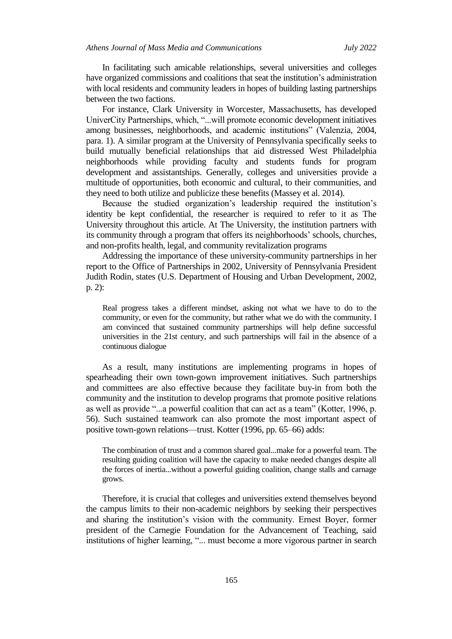In facilitating such amicable relationships, several universities and colleges have organized commissions and coalitions that seat the institution's administration with local residents and community leaders in hopes of building lasting partnerships between the two factions.

For instance, Clark University in Worcester, Massachusetts, has developed UniverCity Partnerships, which, "...will promote economic development initiatives among businesses, neighborhoods, and academic institutions" (Valenzia, 2004, para. 1). A similar program at the University of Pennsylvania specifically seeks to build mutually beneficial relationships that aid distressed West Philadelphia neighborhoods while providing faculty and students funds for program development and assistantships. Generally, colleges and universities provide a multitude of opportunities, both economic and cultural, to their communities, and they need to both utilize and publicize these benefits (Massey et al. 2014).

Because the studied organization's leadership required the institution's identity be kept confidential, the researcher is required to refer to it as The University throughout this article. At The University, the institution partners with its community through a program that offers its neighborhoods' schools, churches, and non-profits health, legal, and community revitalization programs

Addressing the importance of these university-community partnerships in her report to the Office of Partnerships in 2002, University of Pennsylvania President Judith Rodin, states (U.S. Department of Housing and Urban Development, 2002, p. 2):

Real progress takes a different mindset, asking not what we have to do to the community, or even for the community, but rather what we do with the community. I am convinced that sustained community partnerships will help define successful universities in the 21st century, and such partnerships will fail in the absence of a continuous dialogue

As a result, many institutions are implementing programs in hopes of spearheading their own town-gown improvement initiatives. Such partnerships and committees are also effective because they facilitate buy-in from both the community and the institution to develop programs that promote positive relations as well as provide "...a powerful coalition that can act as a team" (Kotter, 1996, p. 56). Such sustained teamwork can also promote the most important aspect of positive town-gown relations—trust. Kotter (1996, pp. 65–66) adds:

The combination of trust and a common shared goal...make for a powerful team. The resulting guiding coalition will have the capacity to make needed changes despite all the forces of inertia...without a powerful guiding coalition, change stalls and carnage grows.

Therefore, it is crucial that colleges and universities extend themselves beyond the campus limits to their non-academic neighbors by seeking their perspectives and sharing the institution's vision with the community. Ernest Boyer, former president of the Carnegie Foundation for the Advancement of Teaching, said institutions of higher learning, "... must become a more vigorous partner in search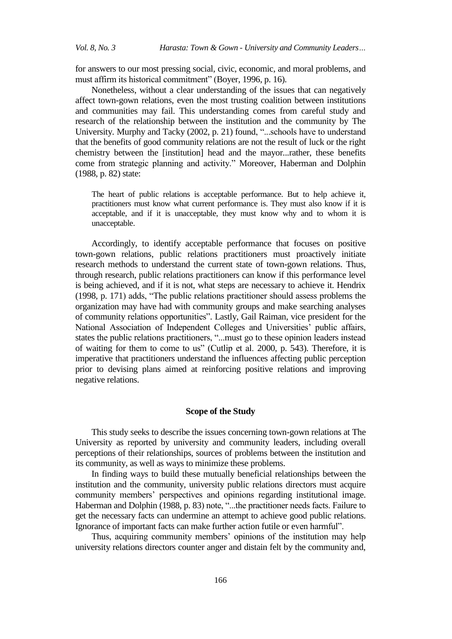for answers to our most pressing social, civic, economic, and moral problems, and must affirm its historical commitment" (Boyer, 1996, p. 16).

Nonetheless, without a clear understanding of the issues that can negatively affect town-gown relations, even the most trusting coalition between institutions and communities may fail. This understanding comes from careful study and research of the relationship between the institution and the community by The University. Murphy and Tacky (2002, p. 21) found, "...schools have to understand that the benefits of good community relations are not the result of luck or the right chemistry between the [institution] head and the mayor...rather, these benefits come from strategic planning and activity." Moreover, Haberman and Dolphin (1988, p. 82) state:

The heart of public relations is acceptable performance. But to help achieve it, practitioners must know what current performance is. They must also know if it is acceptable, and if it is unacceptable, they must know why and to whom it is unacceptable.

Accordingly, to identify acceptable performance that focuses on positive town-gown relations, public relations practitioners must proactively initiate research methods to understand the current state of town-gown relations. Thus, through research, public relations practitioners can know if this performance level is being achieved, and if it is not, what steps are necessary to achieve it. Hendrix (1998, p. 171) adds, "The public relations practitioner should assess problems the organization may have had with community groups and make searching analyses of community relations opportunities". Lastly, Gail Raiman, vice president for the National Association of Independent Colleges and Universities' public affairs, states the public relations practitioners, "...must go to these opinion leaders instead of waiting for them to come to us" (Cutlip et al. 2000, p. 543). Therefore, it is imperative that practitioners understand the influences affecting public perception prior to devising plans aimed at reinforcing positive relations and improving negative relations.

#### **Scope of the Study**

This study seeks to describe the issues concerning town-gown relations at The University as reported by university and community leaders, including overall perceptions of their relationships, sources of problems between the institution and its community, as well as ways to minimize these problems.

In finding ways to build these mutually beneficial relationships between the institution and the community, university public relations directors must acquire community members' perspectives and opinions regarding institutional image. Haberman and Dolphin (1988, p. 83) note, "...the practitioner needs facts. Failure to get the necessary facts can undermine an attempt to achieve good public relations. Ignorance of important facts can make further action futile or even harmful".

Thus, acquiring community members' opinions of the institution may help university relations directors counter anger and distain felt by the community and,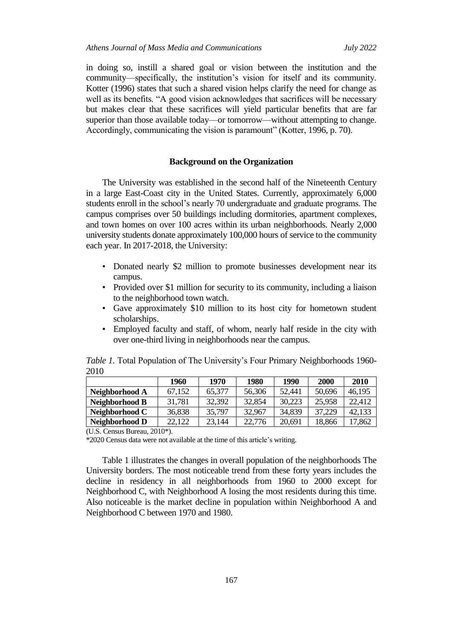in doing so, instill a shared goal or vision between the institution and the community—specifically, the institution's vision for itself and its community. Kotter (1996) states that such a shared vision helps clarify the need for change as well as its benefits. "A good vision acknowledges that sacrifices will be necessary but makes clear that these sacrifices will yield particular benefits that are far superior than those available today—or tomorrow—without attempting to change. Accordingly, communicating the vision is paramount" (Kotter, 1996, p. 70).

#### **Background on the Organization**

The University was established in the second half of the Nineteenth Century in a large East-Coast city in the United States. Currently, approximately 6,000 students enroll in the school's nearly 70 undergraduate and graduate programs. The campus comprises over 50 buildings including dormitories, apartment complexes, and town homes on over 100 acres within its urban neighborhoods. Nearly 2,000 university students donate approximately 100,000 hours of service to the community each year. In 2017-2018, the University:

- Donated nearly \$2 million to promote businesses development near its campus.
- Provided over \$1 million for security to its community, including a liaison to the neighborhood town watch.
- Gave approximately \$10 million to its host city for hometown student scholarships.
- Employed faculty and staff, of whom, nearly half reside in the city with over one-third living in neighborhoods near the campus.

*Table 1.* Total Population of The University's Four Primary Neighborhoods 1960- 2010

|                | 1960   | 1970   | 1980   | 1990   | 2000   | 2010   |
|----------------|--------|--------|--------|--------|--------|--------|
| Neighborhood A | 67.152 | 65,377 | 56,306 | 52,441 | 50,696 | 46,195 |
| Neighborhood B | 31,781 | 32,392 | 32,854 | 30,223 | 25,958 | 22.412 |
| Neighborhood C | 36,838 | 35,797 | 32,967 | 34.839 | 37,229 | 42,133 |
| Neighborhood D | 22,122 | 23,144 | 22,776 | 20,691 | 18,866 | 17,862 |

(U.S. Census Bureau, 2010\*).

\*2020 Census data were not available at the time of this article's writing.

Table 1 illustrates the changes in overall population of the neighborhoods The University borders. The most noticeable trend from these forty years includes the decline in residency in all neighborhoods from 1960 to 2000 except for Neighborhood C, with Neighborhood A losing the most residents during this time. Also noticeable is the market decline in population within Neighborhood A and Neighborhood C between 1970 and 1980.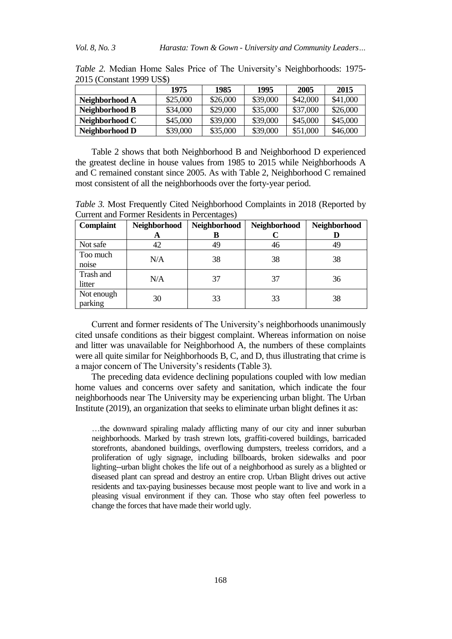| $2010$ (Computer 1999) CDV |          |          |          |          |          |  |  |
|----------------------------|----------|----------|----------|----------|----------|--|--|
|                            | 1975     | 1985     | 1995     | 2005     | 2015     |  |  |
| Neighborhood A             | \$25,000 | \$26,000 | \$39,000 | \$42,000 | \$41,000 |  |  |
| Neighborhood B             | \$34,000 | \$29,000 | \$35,000 | \$37,000 | \$26,000 |  |  |
| Neighborhood C             | \$45,000 | \$39,000 | \$39,000 | \$45,000 | \$45,000 |  |  |
| Neighborhood D             | \$39,000 | \$35,000 | \$39,000 | \$51,000 | \$46,000 |  |  |

*Table 2.* Median Home Sales Price of The University's Neighborhoods: 1975- 2015 (Constant 1999 US\$)

Table 2 shows that both Neighborhood B and Neighborhood D experienced the greatest decline in house values from 1985 to 2015 while Neighborhoods A and C remained constant since 2005. As with Table 2, Neighborhood C remained most consistent of all the neighborhoods over the forty-year period.

*Table 3.* Most Frequently Cited Neighborhood Complaints in 2018 (Reported by Current and Former Residents in Percentages)

| <b>Complaint</b>      | Neighborhood | Neighborhood | Neighborhood | Neighborhood |
|-----------------------|--------------|--------------|--------------|--------------|
|                       | A            | В            |              |              |
| Not safe              | 42           | 49           | 46           | 49           |
| Too much<br>noise     | N/A          | 38           | 38           | 38           |
| Trash and<br>litter   | N/A          | 37           | 37           | 36           |
| Not enough<br>parking | 30           | 33           | 33           | 38           |

Current and former residents of The University's neighborhoods unanimously cited unsafe conditions as their biggest complaint. Whereas information on noise and litter was unavailable for Neighborhood A, the numbers of these complaints were all quite similar for Neighborhoods B, C, and D, thus illustrating that crime is a major concern of The University's residents (Table 3).

The preceding data evidence declining populations coupled with low median home values and concerns over safety and sanitation, which indicate the four neighborhoods near The University may be experiencing urban blight. The Urban Institute (2019), an organization that seeks to eliminate urban blight defines it as:

…the downward spiraling malady afflicting many of our city and inner suburban neighborhoods. Marked by trash strewn lots, graffiti-covered buildings, barricaded storefronts, abandoned buildings, overflowing dumpsters, treeless corridors, and a proliferation of ugly signage, including billboards, broken sidewalks and poor lighting--urban blight chokes the life out of a neighborhood as surely as a blighted or diseased plant can spread and destroy an entire crop. Urban Blight drives out active residents and tax-paying businesses because most people want to live and work in a pleasing visual environment if they can. Those who stay often feel powerless to change the forces that have made their world ugly.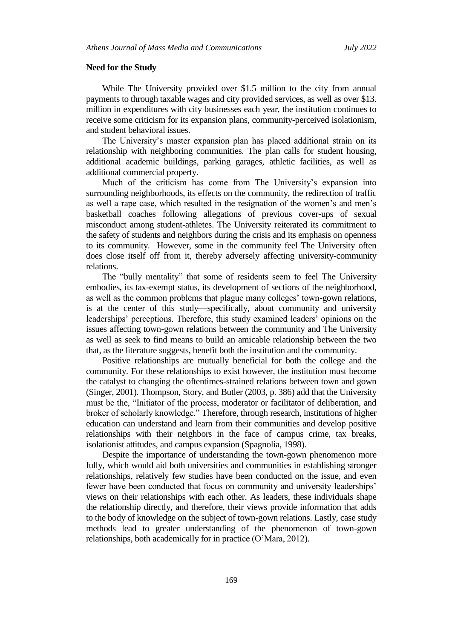#### **Need for the Study**

While The University provided over \$1.5 million to the city from annual payments to through taxable wages and city provided services, as well as over \$13. million in expenditures with city businesses each year, the institution continues to receive some criticism for its expansion plans, community-perceived isolationism, and student behavioral issues.

The University's master expansion plan has placed additional strain on its relationship with neighboring communities. The plan calls for student housing, additional academic buildings, parking garages, athletic facilities, as well as additional commercial property.

Much of the criticism has come from The University's expansion into surrounding neighborhoods, its effects on the community, the redirection of traffic as well a rape case, which resulted in the resignation of the women's and men's basketball coaches following allegations of previous cover-ups of sexual misconduct among student-athletes. The University reiterated its commitment to the safety of students and neighbors during the crisis and its emphasis on openness to its community. However, some in the community feel The University often does close itself off from it, thereby adversely affecting university-community relations.

The "bully mentality" that some of residents seem to feel The University embodies, its tax-exempt status, its development of sections of the neighborhood, as well as the common problems that plague many colleges' town-gown relations, is at the center of this study—specifically, about community and university leaderships' perceptions. Therefore, this study examined leaders' opinions on the issues affecting town-gown relations between the community and The University as well as seek to find means to build an amicable relationship between the two that, as the literature suggests, benefit both the institution and the community.

Positive relationships are mutually beneficial for both the college and the community. For these relationships to exist however, the institution must become the catalyst to changing the oftentimes-strained relations between town and gown (Singer, 2001). Thompson, Story, and Butler (2003, p. 386) add that the University must be the, "Initiator of the process, moderator or facilitator of deliberation, and broker of scholarly knowledge." Therefore, through research, institutions of higher education can understand and learn from their communities and develop positive relationships with their neighbors in the face of campus crime, tax breaks, isolationist attitudes, and campus expansion (Spagnolia, 1998).

Despite the importance of understanding the town-gown phenomenon more fully, which would aid both universities and communities in establishing stronger relationships, relatively few studies have been conducted on the issue, and even fewer have been conducted that focus on community and university leaderships' views on their relationships with each other. As leaders, these individuals shape the relationship directly, and therefore, their views provide information that adds to the body of knowledge on the subject of town-gown relations. Lastly, case study methods lead to greater understanding of the phenomenon of town-gown relationships, both academically for in practice (O'Mara, 2012).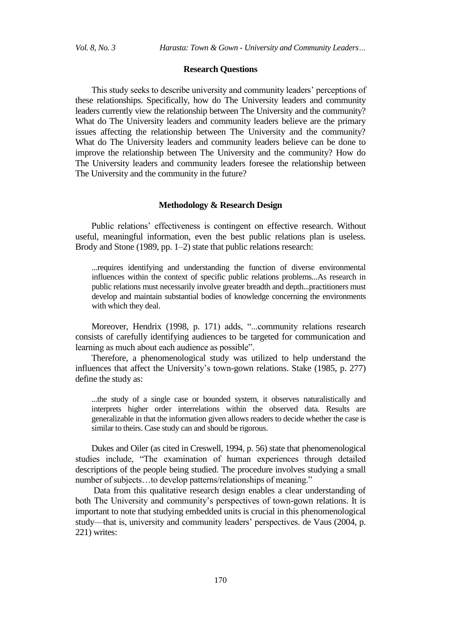#### **Research Questions**

This study seeks to describe university and community leaders' perceptions of these relationships. Specifically, how do The University leaders and community leaders currently view the relationship between The University and the community? What do The University leaders and community leaders believe are the primary issues affecting the relationship between The University and the community? What do The University leaders and community leaders believe can be done to improve the relationship between The University and the community? How do The University leaders and community leaders foresee the relationship between The University and the community in the future?

#### **Methodology & Research Design**

Public relations' effectiveness is contingent on effective research. Without useful, meaningful information, even the best public relations plan is useless. Brody and Stone (1989, pp. 1–2) state that public relations research:

...requires identifying and understanding the function of diverse environmental influences within the context of specific public relations problems...As research in public relations must necessarily involve greater breadth and depth...practitioners must develop and maintain substantial bodies of knowledge concerning the environments with which they deal.

Moreover, Hendrix (1998, p. 171) adds, "...community relations research consists of carefully identifying audiences to be targeted for communication and learning as much about each audience as possible".

Therefore, a phenomenological study was utilized to help understand the influences that affect the University's town-gown relations. Stake (1985, p. 277) define the study as:

...the study of a single case or bounded system, it observes naturalistically and interprets higher order interrelations within the observed data. Results are generalizable in that the information given allows readers to decide whether the case is similar to theirs. Case study can and should be rigorous.

Dukes and Oiler (as cited in Creswell, 1994, p. 56) state that phenomenological studies include, "The examination of human experiences through detailed descriptions of the people being studied. The procedure involves studying a small number of subjects...to develop patterns/relationships of meaning."

Data from this qualitative research design enables a clear understanding of both The University and community's perspectives of town-gown relations. It is important to note that studying embedded units is crucial in this phenomenological study—that is, university and community leaders' perspectives. de Vaus (2004, p. 221) writes: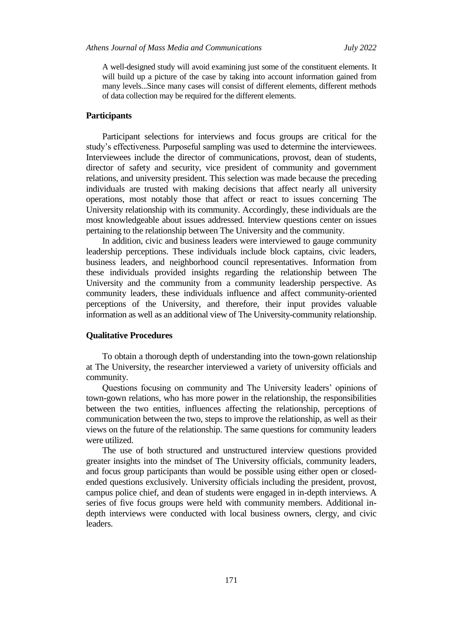A well-designed study will avoid examining just some of the constituent elements. It will build up a picture of the case by taking into account information gained from many levels...Since many cases will consist of different elements, different methods of data collection may be required for the different elements.

#### **Participants**

Participant selections for interviews and focus groups are critical for the study's effectiveness. Purposeful sampling was used to determine the interviewees. Interviewees include the director of communications, provost, dean of students, director of safety and security, vice president of community and government relations, and university president. This selection was made because the preceding individuals are trusted with making decisions that affect nearly all university operations, most notably those that affect or react to issues concerning The University relationship with its community. Accordingly, these individuals are the most knowledgeable about issues addressed. Interview questions center on issues pertaining to the relationship between The University and the community.

In addition, civic and business leaders were interviewed to gauge community leadership perceptions. These individuals include block captains, civic leaders, business leaders, and neighborhood council representatives. Information from these individuals provided insights regarding the relationship between The University and the community from a community leadership perspective. As community leaders, these individuals influence and affect community-oriented perceptions of the University, and therefore, their input provides valuable information as well as an additional view of The University-community relationship.

#### **Qualitative Procedures**

To obtain a thorough depth of understanding into the town-gown relationship at The University, the researcher interviewed a variety of university officials and community.

Questions focusing on community and The University leaders' opinions of town-gown relations, who has more power in the relationship, the responsibilities between the two entities, influences affecting the relationship, perceptions of communication between the two, steps to improve the relationship, as well as their views on the future of the relationship. The same questions for community leaders were utilized.

The use of both structured and unstructured interview questions provided greater insights into the mindset of The University officials, community leaders, and focus group participants than would be possible using either open or closedended questions exclusively. University officials including the president, provost, campus police chief, and dean of students were engaged in in-depth interviews. A series of five focus groups were held with community members. Additional indepth interviews were conducted with local business owners, clergy, and civic leaders.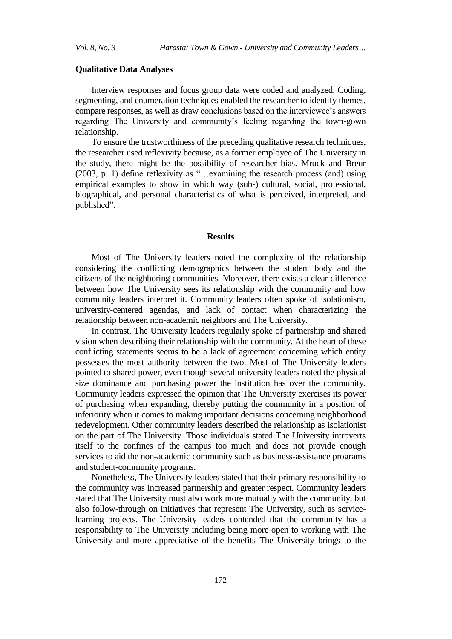#### **Qualitative Data Analyses**

Interview responses and focus group data were coded and analyzed. Coding, segmenting, and enumeration techniques enabled the researcher to identify themes, compare responses, as well as draw conclusions based on the interviewee's answers regarding The University and community's feeling regarding the town-gown relationship.

To ensure the trustworthiness of the preceding qualitative research techniques, the researcher used reflexivity because, as a former employee of The University in the study, there might be the possibility of researcher bias. Mruck and Breur (2003, p. 1) define reflexivity as "...examining the research process (and) using empirical examples to show in which way (sub-) cultural, social, professional, biographical, and personal characteristics of what is perceived, interpreted, and published".

#### **Results**

Most of The University leaders noted the complexity of the relationship considering the conflicting demographics between the student body and the citizens of the neighboring communities. Moreover, there exists a clear difference between how The University sees its relationship with the community and how community leaders interpret it. Community leaders often spoke of isolationism, university-centered agendas, and lack of contact when characterizing the relationship between non-academic neighbors and The University.

In contrast, The University leaders regularly spoke of partnership and shared vision when describing their relationship with the community. At the heart of these conflicting statements seems to be a lack of agreement concerning which entity possesses the most authority between the two. Most of The University leaders pointed to shared power, even though several university leaders noted the physical size dominance and purchasing power the institution has over the community. Community leaders expressed the opinion that The University exercises its power of purchasing when expanding, thereby putting the community in a position of inferiority when it comes to making important decisions concerning neighborhood redevelopment. Other community leaders described the relationship as isolationist on the part of The University. Those individuals stated The University introverts itself to the confines of the campus too much and does not provide enough services to aid the non-academic community such as business-assistance programs and student-community programs.

Nonetheless, The University leaders stated that their primary responsibility to the community was increased partnership and greater respect. Community leaders stated that The University must also work more mutually with the community, but also follow-through on initiatives that represent The University, such as servicelearning projects. The University leaders contended that the community has a responsibility to The University including being more open to working with The University and more appreciative of the benefits The University brings to the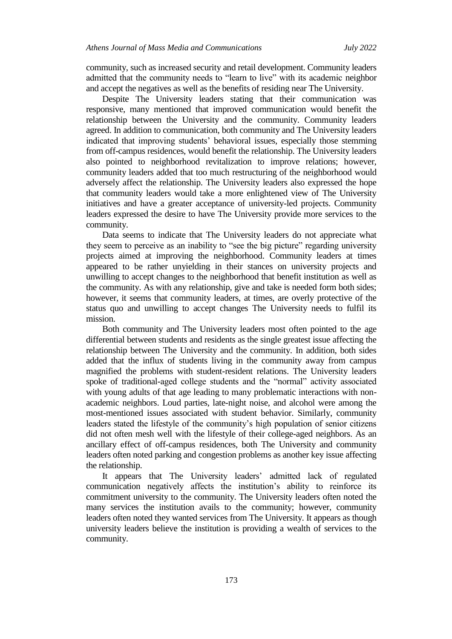community, such as increased security and retail development. Community leaders admitted that the community needs to "learn to live" with its academic neighbor and accept the negatives as well as the benefits of residing near The University.

Despite The University leaders stating that their communication was responsive, many mentioned that improved communication would benefit the relationship between the University and the community. Community leaders agreed. In addition to communication, both community and The University leaders indicated that improving students' behavioral issues, especially those stemming from off-campus residences, would benefit the relationship. The University leaders also pointed to neighborhood revitalization to improve relations; however, community leaders added that too much restructuring of the neighborhood would adversely affect the relationship. The University leaders also expressed the hope that community leaders would take a more enlightened view of The University initiatives and have a greater acceptance of university-led projects. Community leaders expressed the desire to have The University provide more services to the community.

Data seems to indicate that The University leaders do not appreciate what they seem to perceive as an inability to "see the big picture" regarding university projects aimed at improving the neighborhood. Community leaders at times appeared to be rather unyielding in their stances on university projects and unwilling to accept changes to the neighborhood that benefit institution as well as the community. As with any relationship, give and take is needed form both sides; however, it seems that community leaders, at times, are overly protective of the status quo and unwilling to accept changes The University needs to fulfil its mission.

Both community and The University leaders most often pointed to the age differential between students and residents as the single greatest issue affecting the relationship between The University and the community. In addition, both sides added that the influx of students living in the community away from campus magnified the problems with student-resident relations. The University leaders spoke of traditional-aged college students and the "normal" activity associated with young adults of that age leading to many problematic interactions with nonacademic neighbors. Loud parties, late-night noise, and alcohol were among the most-mentioned issues associated with student behavior. Similarly, community leaders stated the lifestyle of the community's high population of senior citizens did not often mesh well with the lifestyle of their college-aged neighbors. As an ancillary effect of off-campus residences, both The University and community leaders often noted parking and congestion problems as another key issue affecting the relationship.

It appears that The University leaders' admitted lack of regulated communication negatively affects the institution's ability to reinforce its commitment university to the community. The University leaders often noted the many services the institution avails to the community; however, community leaders often noted they wanted services from The University. It appears as though university leaders believe the institution is providing a wealth of services to the community.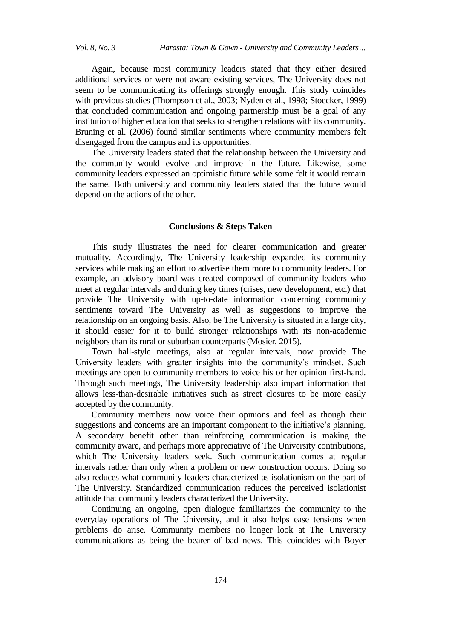Again, because most community leaders stated that they either desired additional services or were not aware existing services, The University does not seem to be communicating its offerings strongly enough. This study coincides with previous studies (Thompson et al., 2003; Nyden et al., 1998; Stoecker, 1999) that concluded communication and ongoing partnership must be a goal of any institution of higher education that seeks to strengthen relations with its community. Bruning et al. (2006) found similar sentiments where community members felt disengaged from the campus and its opportunities.

The University leaders stated that the relationship between the University and the community would evolve and improve in the future. Likewise, some community leaders expressed an optimistic future while some felt it would remain the same. Both university and community leaders stated that the future would depend on the actions of the other.

#### **Conclusions & Steps Taken**

This study illustrates the need for clearer communication and greater mutuality. Accordingly, The University leadership expanded its community services while making an effort to advertise them more to community leaders. For example, an advisory board was created composed of community leaders who meet at regular intervals and during key times (crises, new development, etc.) that provide The University with up-to-date information concerning community sentiments toward The University as well as suggestions to improve the relationship on an ongoing basis. Also, be The University is situated in a large city, it should easier for it to build stronger relationships with its non-academic neighbors than its rural or suburban counterparts (Mosier, 2015).

Town hall-style meetings, also at regular intervals, now provide The University leaders with greater insights into the community's mindset. Such meetings are open to community members to voice his or her opinion first-hand. Through such meetings, The University leadership also impart information that allows less-than-desirable initiatives such as street closures to be more easily accepted by the community.

Community members now voice their opinions and feel as though their suggestions and concerns are an important component to the initiative's planning. A secondary benefit other than reinforcing communication is making the community aware, and perhaps more appreciative of The University contributions, which The University leaders seek. Such communication comes at regular intervals rather than only when a problem or new construction occurs. Doing so also reduces what community leaders characterized as isolationism on the part of The University. Standardized communication reduces the perceived isolationist attitude that community leaders characterized the University.

Continuing an ongoing, open dialogue familiarizes the community to the everyday operations of The University, and it also helps ease tensions when problems do arise. Community members no longer look at The University communications as being the bearer of bad news. This coincides with Boyer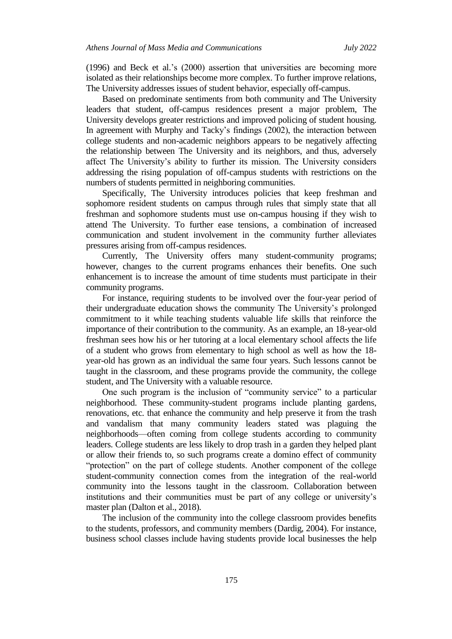(1996) and Beck et al.'s (2000) assertion that universities are becoming more isolated as their relationships become more complex. To further improve relations, The University addresses issues of student behavior, especially off-campus.

Based on predominate sentiments from both community and The University leaders that student, off-campus residences present a major problem, The University develops greater restrictions and improved policing of student housing. In agreement with Murphy and Tacky's findings (2002), the interaction between college students and non-academic neighbors appears to be negatively affecting the relationship between The University and its neighbors, and thus, adversely affect The University's ability to further its mission. The University considers addressing the rising population of off-campus students with restrictions on the numbers of students permitted in neighboring communities.

Specifically, The University introduces policies that keep freshman and sophomore resident students on campus through rules that simply state that all freshman and sophomore students must use on-campus housing if they wish to attend The University. To further ease tensions, a combination of increased communication and student involvement in the community further alleviates pressures arising from off-campus residences.

Currently, The University offers many student-community programs; however, changes to the current programs enhances their benefits. One such enhancement is to increase the amount of time students must participate in their community programs.

For instance, requiring students to be involved over the four-year period of their undergraduate education shows the community The University's prolonged commitment to it while teaching students valuable life skills that reinforce the importance of their contribution to the community. As an example, an 18-year-old freshman sees how his or her tutoring at a local elementary school affects the life of a student who grows from elementary to high school as well as how the 18 year-old has grown as an individual the same four years. Such lessons cannot be taught in the classroom, and these programs provide the community, the college student, and The University with a valuable resource.

One such program is the inclusion of "community service" to a particular neighborhood. These community-student programs include planting gardens, renovations, etc. that enhance the community and help preserve it from the trash and vandalism that many community leaders stated was plaguing the neighborhoods—often coming from college students according to community leaders. College students are less likely to drop trash in a garden they helped plant or allow their friends to, so such programs create a domino effect of community "protection" on the part of college students. Another component of the college student-community connection comes from the integration of the real-world community into the lessons taught in the classroom. Collaboration between institutions and their communities must be part of any college or university's master plan (Dalton et al., 2018).

The inclusion of the community into the college classroom provides benefits to the students, professors, and community members (Dardig, 2004). For instance, business school classes include having students provide local businesses the help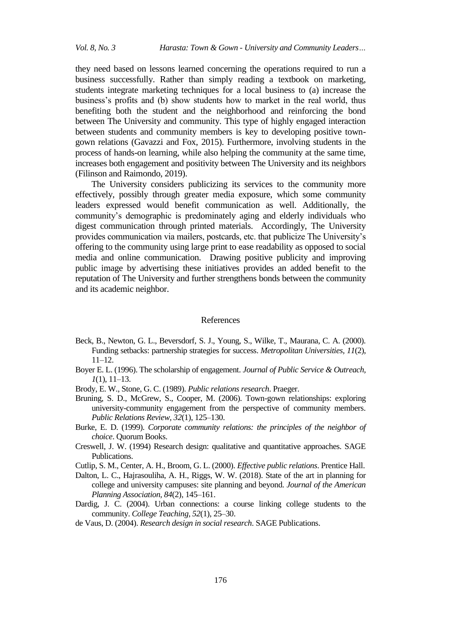they need based on lessons learned concerning the operations required to run a business successfully. Rather than simply reading a textbook on marketing, students integrate marketing techniques for a local business to (a) increase the business's profits and (b) show students how to market in the real world, thus benefiting both the student and the neighborhood and reinforcing the bond between The University and community. This type of highly engaged interaction between students and community members is key to developing positive towngown relations (Gavazzi and Fox, 2015). Furthermore, involving students in the process of hands-on learning, while also helping the community at the same time, increases both engagement and positivity between The University and its neighbors (Filinson and Raimondo, 2019).

The University considers publicizing its services to the community more effectively, possibly through greater media exposure, which some community leaders expressed would benefit communication as well. Additionally, the community's demographic is predominately aging and elderly individuals who digest communication through printed materials. Accordingly, The University provides communication via mailers, postcards, etc. that publicize The University's offering to the community using large print to ease readability as opposed to social media and online communication. Drawing positive publicity and improving public image by advertising these initiatives provides an added benefit to the reputation of The University and further strengthens bonds between the community and its academic neighbor.

#### References

- Beck, B., Newton, G. L., Beversdorf, S. J., Young, S., Wilke, T., Maurana, C. A. (2000). Funding setbacks: partnership strategies for success. *Metropolitan Universities, 11*(2), 11–12.
- Boyer E. L. (1996). The scholarship of engagement. *Journal of Public Service & Outreach, 1*(1), 11–13.
- Brody, E. W., Stone, G. C. (1989). *Public relations research*. Praeger.
- Bruning, S. D., McGrew, S., Cooper, M. (2006). Town-gown relationships: exploring university-community engagement from the perspective of community members. *Public Relations Review, 32*(1), 125–130.
- Burke, E. D. (1999). *Corporate community relations: the principles of the neighbor of choice*. Quorum Books.
- Creswell, J. W. (1994) Research design: qualitative and quantitative approaches. SAGE Publications.
- Cutlip, S. M., Center, A. H., Broom, G. L. (2000). *Effective public relations*. Prentice Hall.
- Dalton, L. C., Hajrasouliha, A. H., Riggs, W. W. (2018). State of the art in planning for college and university campuses: site planning and beyond. *Journal of the American Planning Association, 84*(2), 145–161.
- Dardig, J. C. (2004). Urban connections: a course linking college students to the community. *College Teaching, 52*(1), 25–30.
- de Vaus, D. (2004). *Research design in social research*. SAGE Publications.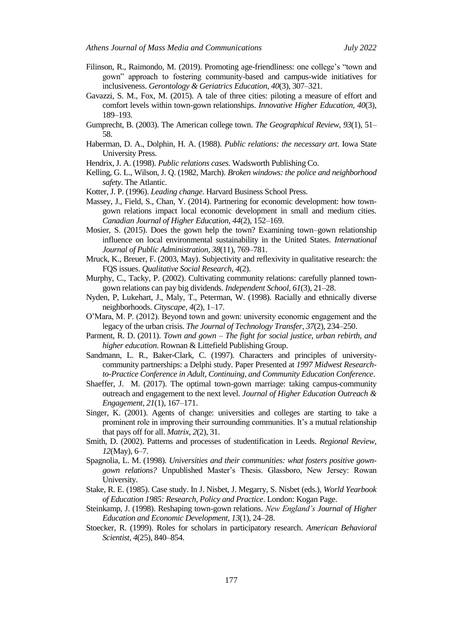- Filinson, R., Raimondo, M. (2019). Promoting age-friendliness: one college's "town and gown‖ approach to fostering community-based and campus-wide initiatives for inclusiveness. *Gerontology & Geriatrics Education, 40*(3), 307–321.
- Gavazzi, S. M., Fox, M. (2015). A tale of three cities: piloting a measure of effort and comfort levels within town-gown relationships. *Innovative Higher Education, 40*(3), 189–193.
- Gumprecht, B. (2003). The American college town. *The Geographical Review, 93*(1), 51– 58.
- Haberman, D. A., Dolphin, H. A. (1988). *Public relations: the necessary art*. Iowa State University Press.
- Hendrix, J. A. (1998). *Public relations cases*. Wadsworth Publishing Co.
- Kelling, G. L., Wilson, J. Q. (1982, March). *Broken windows: the police and neighborhood safety*. The Atlantic.
- Kotter, J. P. (1996). *Leading change*. Harvard Business School Press.
- Massey, J., Field, S., Chan, Y. (2014). Partnering for economic development: how towngown relations impact local economic development in small and medium cities. *Canadian Journal of Higher Education, 44*(2), 152–169.
- Mosier, S. (2015). Does the gown help the town? Examining town–gown relationship influence on local environmental sustainability in the United States. *International Journal of Public Administration, 38*(11), 769–781.
- Mruck, K., Breuer, F. (2003, May). Subjectivity and reflexivity in qualitative research: the FQS issues. *Qualitative Social Research, 4*(2).
- Murphy, C., Tacky, P. (2002). Cultivating community relations: carefully planned towngown relations can pay big dividends. *Independent School, 61*(3), 21–28.
- Nyden, P, Lukehart, J., Maly, T., Peterman, W. (1998). Racially and ethnically diverse neighborhoods. *Cityscape, 4*(2), 1–17.
- O'Mara, M. P. (2012). Beyond town and gown: university economic engagement and the legacy of the urban crisis. *The Journal of Technology Transfer, 37*(2), 234–250.
- Parment, R. D. (2011). *Town and gown – The fight for social justice, urban rebirth, and higher education*. Rownan & Littefield Publishing Group.
- Sandmann, L. R., Baker-Clark, C. (1997). Characters and principles of universitycommunity partnerships: a Delphi study. Paper Presented at *1997 Midwest Researchto-Practice Conference in Adult, Continuing, and Community Education Conference*.
- Shaeffer, J. M. (2017). The optimal town-gown marriage: taking campus-community outreach and engagement to the next level. *Journal of Higher Education Outreach & Engagement, 21*(1), 167–171.
- Singer, K. (2001). Agents of change: universities and colleges are starting to take a prominent role in improving their surrounding communities. It's a mutual relationship that pays off for all. *Matrix, 2*(2), 31.
- Smith, D. (2002). Patterns and processes of studentification in Leeds. *Regional Review*, *12*(May), 6–7.
- Spagnolia, L. M. (1998). *Universities and their communities: what fosters positive gowngown relations?* Unpublished Master's Thesis. Glassboro, New Jersey: Rowan University.
- Stake, R. E. (1985). Case study. In J. Nisbet, J. Megarry, S. Nisbet (eds.), *World Yearbook of Education 1985: Research, Policy and Practice*. London: Kogan Page.
- Steinkamp, J. (1998). Reshaping town-gown relations. *New England's Journal of Higher Education and Economic Development, 13*(1), 24–28.
- Stoecker, R. (1999). Roles for scholars in participatory research. *American Behavioral Scientist, 4*(25), 840–854.